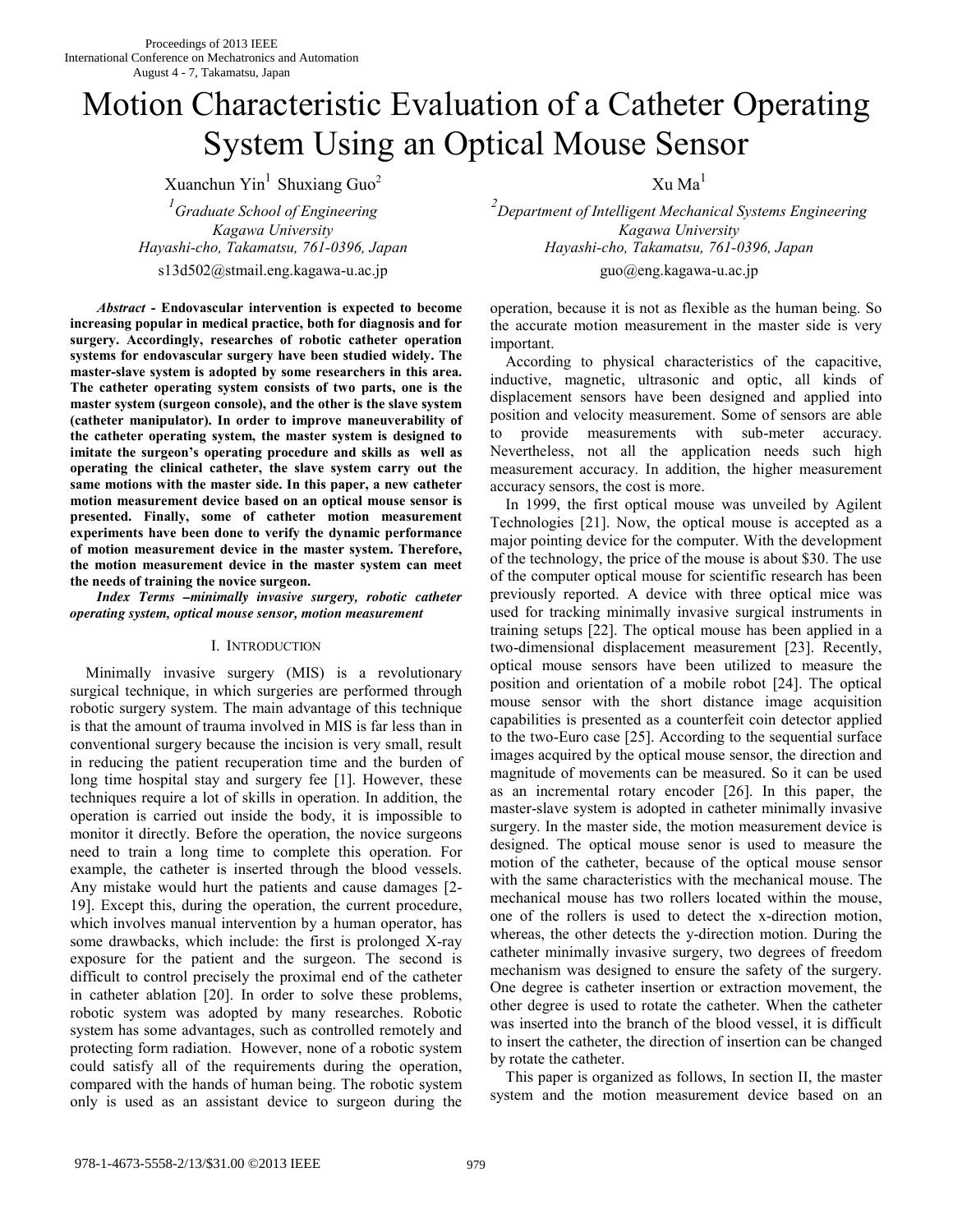# Motion Characteristic Evaluation of a Catheter Operating System Using an Optical Mouse Sensor

Xuanchun Yin<sup>1</sup> Shuxiang Guo<sup>2</sup> Xu Ma<sup>1</sup>

*1 Graduate School of Engineering <sup>2</sup>*

*Abstract* **- Endovascular intervention is expected to become increasing popular in medical practice, both for diagnosis and for surgery. Accordingly, researches of robotic catheter operation systems for endovascular surgery have been studied widely. The master-slave system is adopted by some researchers in this area. The catheter operating system consists of two parts, one is the master system (surgeon console), and the other is the slave system (catheter manipulator). In order to improve maneuverability of the catheter operating system, the master system is designed to imitate the surgeon's operating procedure and skills as well as operating the clinical catheter, the slave system carry out the same motions with the master side. In this paper, a new catheter motion measurement device based on an optical mouse sensor is presented. Finally, some of catheter motion measurement experiments have been done to verify the dynamic performance of motion measurement device in the master system. Therefore, the motion measurement device in the master system can meet the needs of training the novice surgeon.** 

*Index Terms –minimally invasive surgery, robotic catheter operating system, optical mouse sensor, motion measurement* 

# I. INTRODUCTION

Minimally invasive surgery (MIS) is a revolutionary surgical technique, in which surgeries are performed through robotic surgery system. The main advantage of this technique is that the amount of trauma involved in MIS is far less than in conventional surgery because the incision is very small, result in reducing the patient recuperation time and the burden of long time hospital stay and surgery fee [1]. However, these techniques require a lot of skills in operation. In addition, the operation is carried out inside the body, it is impossible to monitor it directly. Before the operation, the novice surgeons need to train a long time to complete this operation. For example, the catheter is inserted through the blood vessels. Any mistake would hurt the patients and cause damages [2- 19]. Except this, during the operation, the current procedure, which involves manual intervention by a human operator, has some drawbacks, which include: the first is prolonged X-ray exposure for the patient and the surgeon. The second is difficult to control precisely the proximal end of the catheter in catheter ablation [20]. In order to solve these problems, robotic system was adopted by many researches. Robotic system has some advantages, such as controlled remotely and protecting form radiation. However, none of a robotic system could satisfy all of the requirements during the operation, compared with the hands of human being. The robotic system only is used as an assistant device to surgeon during the

*Department of Intelligent Mechanical Systems Engineering Kagawa University Kagawa University Hayashi-cho, Takamatsu, 761-0396, Japan Hayashi-cho, Takamatsu, 761-0396, Japan*  s13d502@stmail.eng.kagawa-u.ac.jp guo@eng.kagawa-u.ac.jp

> operation, because it is not as flexible as the human being. So the accurate motion measurement in the master side is very important.

> According to physical characteristics of the capacitive, inductive, magnetic, ultrasonic and optic, all kinds of displacement sensors have been designed and applied into position and velocity measurement. Some of sensors are able to provide measurements with sub-meter accuracy. Nevertheless, not all the application needs such high measurement accuracy. In addition, the higher measurement accuracy sensors, the cost is more.

> In 1999, the first optical mouse was unveiled by Agilent Technologies [21]. Now, the optical mouse is accepted as a major pointing device for the computer. With the development of the technology, the price of the mouse is about \$30. The use of the computer optical mouse for scientific research has been previously reported. A device with three optical mice was used for tracking minimally invasive surgical instruments in training setups [22]. The optical mouse has been applied in a two-dimensional displacement measurement [23]. Recently, optical mouse sensors have been utilized to measure the position and orientation of a mobile robot [24]. The optical mouse sensor with the short distance image acquisition capabilities is presented as a counterfeit coin detector applied to the two-Euro case [25]. According to the sequential surface images acquired by the optical mouse sensor, the direction and magnitude of movements can be measured. So it can be used as an incremental rotary encoder [26]. In this paper, the master-slave system is adopted in catheter minimally invasive surgery. In the master side, the motion measurement device is designed. The optical mouse senor is used to measure the motion of the catheter, because of the optical mouse sensor with the same characteristics with the mechanical mouse. The mechanical mouse has two rollers located within the mouse, one of the rollers is used to detect the x-direction motion, whereas, the other detects the y-direction motion. During the catheter minimally invasive surgery, two degrees of freedom mechanism was designed to ensure the safety of the surgery. One degree is catheter insertion or extraction movement, the other degree is used to rotate the catheter. When the catheter was inserted into the branch of the blood vessel, it is difficult to insert the catheter, the direction of insertion can be changed by rotate the catheter.

> This paper is organized as follows, In section II, the master system and the motion measurement device based on an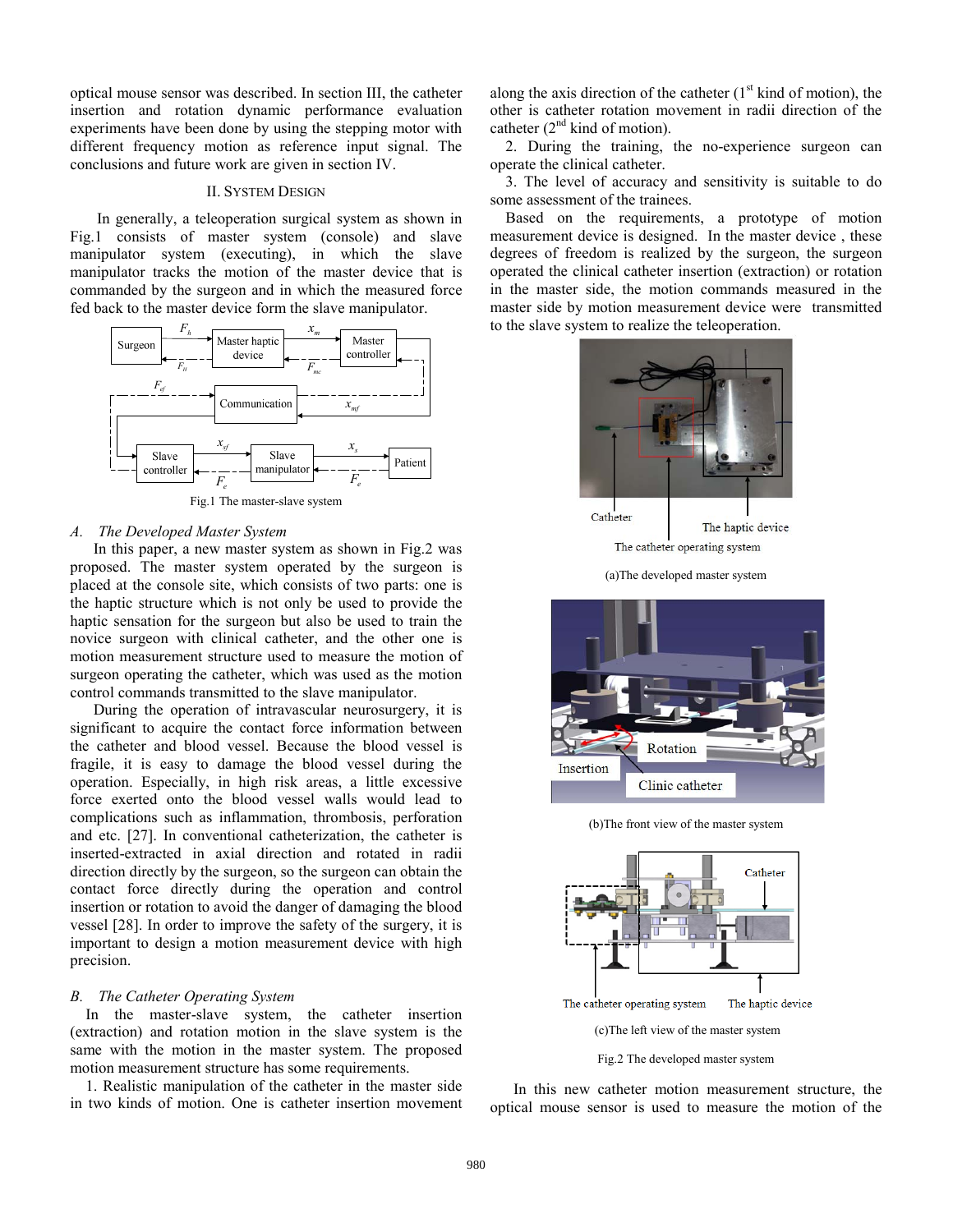optical mouse sensor was described. In section III, the catheter insertion and rotation dynamic performance evaluation experiments have been done by using the stepping motor with different frequency motion as reference input signal. The conclusions and future work are given in section IV.

# II. SYSTEM DESIGN

 In generally, a teleoperation surgical system as shown in Fig.1 consists of master system (console) and slave manipulator system (executing), in which the slave manipulator tracks the motion of the master device that is commanded by the surgeon and in which the measured force fed back to the master device form the slave manipulator.



Fig.1 The master-slave system

#### *A. The Developed Master System*

In this paper, a new master system as shown in Fig.2 was proposed. The master system operated by the surgeon is placed at the console site, which consists of two parts: one is the haptic structure which is not only be used to provide the haptic sensation for the surgeon but also be used to train the novice surgeon with clinical catheter, and the other one is motion measurement structure used to measure the motion of surgeon operating the catheter, which was used as the motion control commands transmitted to the slave manipulator.

During the operation of intravascular neurosurgery, it is significant to acquire the contact force information between the catheter and blood vessel. Because the blood vessel is fragile, it is easy to damage the blood vessel during the operation. Especially, in high risk areas, a little excessive force exerted onto the blood vessel walls would lead to complications such as inflammation, thrombosis, perforation and etc. [27]. In conventional catheterization, the catheter is inserted-extracted in axial direction and rotated in radii direction directly by the surgeon, so the surgeon can obtain the contact force directly during the operation and control insertion or rotation to avoid the danger of damaging the blood vessel [28]. In order to improve the safety of the surgery, it is important to design a motion measurement device with high precision.

## *B. The Catheter Operating System*

In the master-slave system, the catheter insertion (extraction) and rotation motion in the slave system is the same with the motion in the master system. The proposed motion measurement structure has some requirements.

1. Realistic manipulation of the catheter in the master side in two kinds of motion. One is catheter insertion movement along the axis direction of the catheter  $(1<sup>st</sup>$  kind of motion), the other is catheter rotation movement in radii direction of the catheter  $(2<sup>nd</sup>$  kind of motion).

2. During the training, the no-experience surgeon can operate the clinical catheter.

3. The level of accuracy and sensitivity is suitable to do some assessment of the trainees.

Based on the requirements, a prototype of motion measurement device is designed. In the master device , these degrees of freedom is realized by the surgeon, the surgeon operated the clinical catheter insertion (extraction) or rotation in the master side, the motion commands measured in the master side by motion measurement device were transmitted to the slave system to realize the teleoperation.



The catheter operating system

(a)The developed master system



(b)The front view of the master system



Fig.2 The developed master system

In this new catheter motion measurement structure, the optical mouse sensor is used to measure the motion of the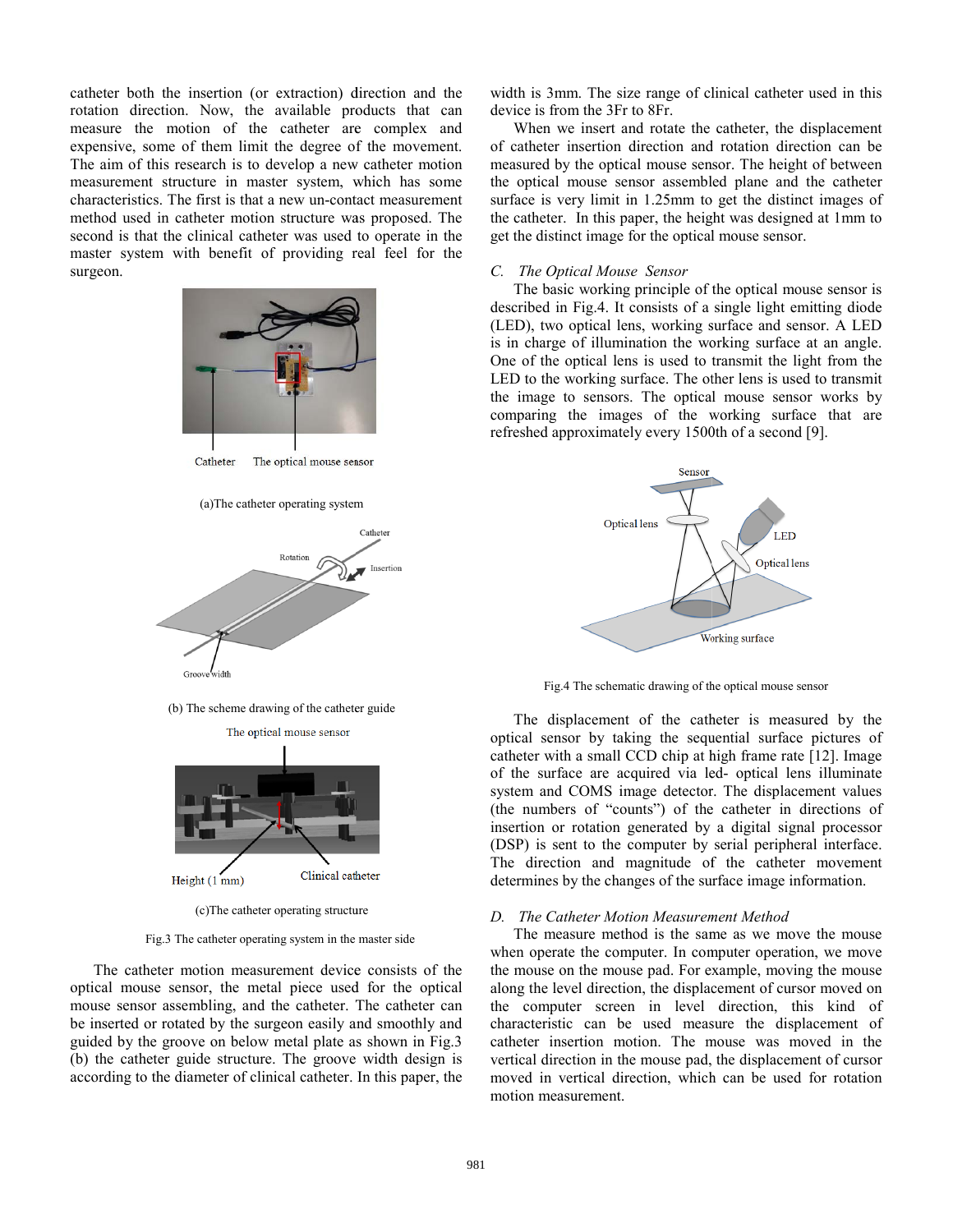catheter both the insertion (or extraction) d direction and the rotation direction. Now, the available products that can measure the motion of the catheter are complex and expensive, some of them limit the degree o f the movement. The aim of this research is to develop a new catheter motion measurement structure in master system, which has some characteristics. The first is that a new un-contact measurement method used in catheter motion structure was proposed. The second is that the clinical catheter was used to operate in the master system with benefit of providing real feel for the surgeon.



Catheter The optical mouse sensor



(b) The scheme drawing of the catheter guide



(c)The catheter operating structu ure

Fig.3 The catheter operating system in the master side

The catheter motion measurement device consists of the optical mouse sensor, the metal piece used for the optical mouse sensor assembling, and the catheter. The catheter can be inserted or rotated by the surgeon easily and smoothly and guided by the groove on below metal plate a s shown in Fig.3 (b) the catheter guide structure. The groove width design is according to the diameter of clinical catheter. In this paper, the

width is 3mm. The size range of clinical catheter used in this device is from the 3Fr to 8Fr.

When we insert and rotate the catheter, the displacement of catheter insertion direction and d rotation direction can be measured by the optical mouse sensor. The height of between the optical mouse sensor assembl led plane and the catheter surface is very limit in 1.25mm to get the distinct images of the catheter. In this paper, the height was designed at 1mm to get the distinct image for the optical l mouse sensor.

#### *C. The Optical Mouse Sensor*

The basic working principle of the optical mouse sensor is described in Fig.4. It consists of a single light emitting diode (LED), two optical lens, working s surface and sensor. A LED is in charge of illumination the working surface at an angle. One of the optical lens is used to transmit the light from the LED to the working surface. The other lens is used to transmit the image to sensors. The optica l mouse sensor works by comparing the images of the working surface that are refreshed approximately every 1500th of a second [9].



Fig.4 The schematic drawing of th he optical mouse sensor

The displacement of the catheter is measured by the optical sensor by taking the sequential surface pictures of catheter with a small CCD chip at high frame rate [12]. Image of the surface are acquired via led- optical lens illuminate system and COMS image detector. The displacement values (the numbers of "counts") of the e catheter in directions of insertion or rotation generated by a digital signal processor (DSP) is sent to the computer by serial peripheral interface. The direction and magnitude of the catheter movement determines by the changes of the surface image information.

#### *D. The Catheter Motion Measurem ment Method*

The measure method is the same as we move the mouse when operate the computer. In computer operation, we move the mouse on the mouse pad. For e xample, moving the mouse along the level direction, the displacement of cursor moved on the computer screen in level direction, this kind of characteristic can be used measure the displacement of catheter insertion motion. The m mouse was moved in the vertical direction in the mouse pad, the displacement of cursor moved in vertical direction, which h can be used for rotation motion measurement.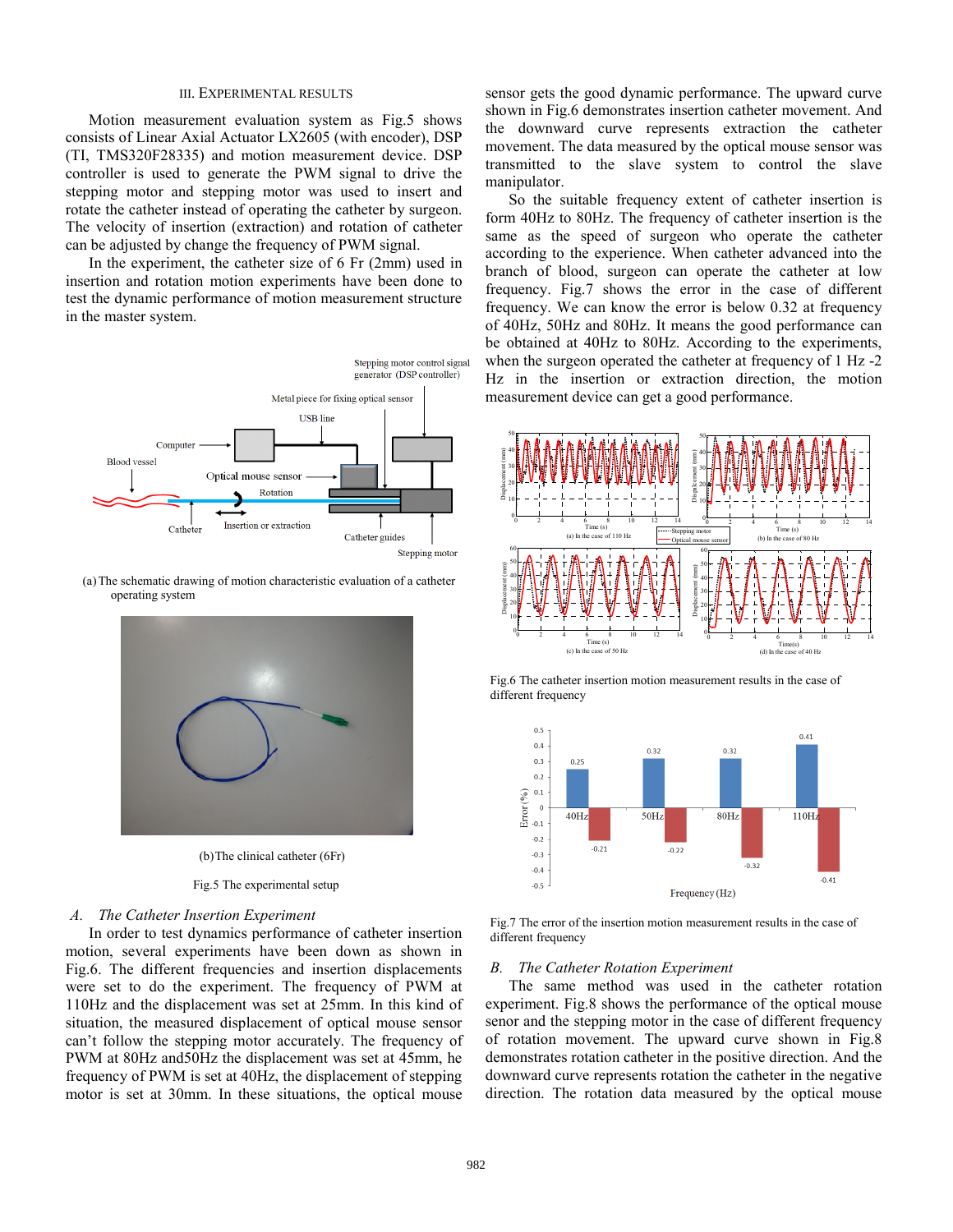#### III. EXPERIMENTAL RESULTS

Motion measurement evaluation system as Fig.5 shows consists of Linear Axial Actuator LX2605 (with encoder), DSP (TI, TMS320F28335) and motion measurement device. DSP controller is used to generate the PWM signal to drive the stepping motor and stepping motor was used to insert and rotate the catheter instead of operating the catheter by surgeon. The velocity of insertion (extraction) and rotation of catheter can be adjusted by change the frequency of PWM signal.

In the experiment, the catheter size of 6 Fr (2mm) used in insertion and rotation motion experiments have been done to test the dynamic performance of motion measurement structure in the master system.



(a)The schematic drawing of motion characteristic evaluation of a catheter operating system



(b)The clinical catheter (6Fr)



## *A. The Catheter Insertion Experiment*

In order to test dynamics performance of catheter insertion motion, several experiments have been down as shown in Fig.6. The different frequencies and insertion displacements were set to do the experiment. The frequency of PWM at 110Hz and the displacement was set at 25mm. In this kind of situation, the measured displacement of optical mouse sensor can't follow the stepping motor accurately. The frequency of PWM at 80Hz and50Hz the displacement was set at 45mm, he frequency of PWM is set at 40Hz, the displacement of stepping motor is set at 30mm. In these situations, the optical mouse

sensor gets the good dynamic performance. The upward curve shown in Fig.6 demonstrates insertion catheter movement. And the downward curve represents extraction the catheter movement. The data measured by the optical mouse sensor was transmitted to the slave system to control the slave manipulator.

So the suitable frequency extent of catheter insertion is form 40Hz to 80Hz. The frequency of catheter insertion is the same as the speed of surgeon who operate the catheter according to the experience. When catheter advanced into the branch of blood, surgeon can operate the catheter at low frequency. Fig.7 shows the error in the case of different frequency. We can know the error is below 0.32 at frequency of 40Hz, 50Hz and 80Hz. It means the good performance can be obtained at 40Hz to 80Hz. According to the experiments, when the surgeon operated the catheter at frequency of 1 Hz -2 Hz in the insertion or extraction direction, the motion measurement device can get a good performance.



Fig.6 The catheter insertion motion measurement results in the case of different frequency



Fig.7 The error of the insertion motion measurement results in the case of different frequency

#### *B. The Catheter Rotation Experiment*

The same method was used in the catheter rotation experiment. Fig.8 shows the performance of the optical mouse senor and the stepping motor in the case of different frequency of rotation movement. The upward curve shown in Fig.8 demonstrates rotation catheter in the positive direction. And the downward curve represents rotation the catheter in the negative direction. The rotation data measured by the optical mouse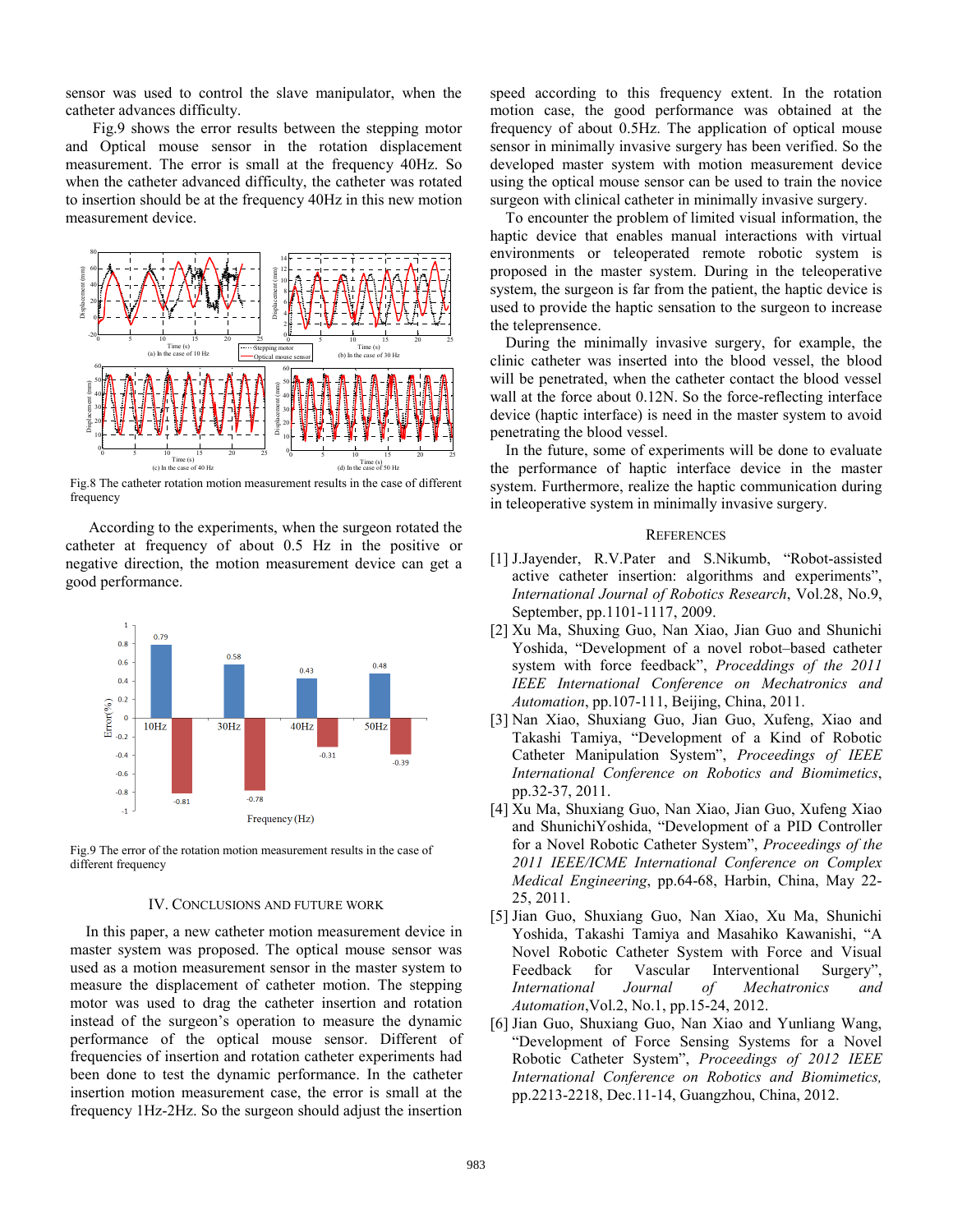sensor was used to control the slave manipulator, when the catheter advances difficulty.

 Fig.9 shows the error results between the stepping motor and Optical mouse sensor in the rotation displacement measurement. The error is small at the frequency 40Hz. So when the catheter advanced difficulty, the catheter was rotated to insertion should be at the frequency 40Hz in this new motion measurement device.



Fig.8 The catheter rotation motion measurement results in the case of different frequency

According to the experiments, when the surgeon rotated the catheter at frequency of about 0.5 Hz in the positive or negative direction, the motion measurement device can get a good performance.



Fig.9 The error of the rotation motion measurement results in the case of different frequency

#### IV. CONCLUSIONS AND FUTURE WORK

In this paper, a new catheter motion measurement device in master system was proposed. The optical mouse sensor was used as a motion measurement sensor in the master system to measure the displacement of catheter motion. The stepping motor was used to drag the catheter insertion and rotation instead of the surgeon's operation to measure the dynamic performance of the optical mouse sensor. Different of frequencies of insertion and rotation catheter experiments had been done to test the dynamic performance. In the catheter insertion motion measurement case, the error is small at the frequency 1Hz-2Hz. So the surgeon should adjust the insertion

speed according to this frequency extent. In the rotation motion case, the good performance was obtained at the frequency of about 0.5Hz. The application of optical mouse sensor in minimally invasive surgery has been verified. So the developed master system with motion measurement device using the optical mouse sensor can be used to train the novice surgeon with clinical catheter in minimally invasive surgery.

To encounter the problem of limited visual information, the haptic device that enables manual interactions with virtual environments or teleoperated remote robotic system is proposed in the master system. During in the teleoperative system, the surgeon is far from the patient, the haptic device is used to provide the haptic sensation to the surgeon to increase the teleprensence.

During the minimally invasive surgery, for example, the clinic catheter was inserted into the blood vessel, the blood will be penetrated, when the catheter contact the blood vessel wall at the force about  $0.12N$ . So the force-reflecting interface device (haptic interface) is need in the master system to avoid penetrating the blood vessel.

In the future, some of experiments will be done to evaluate the performance of haptic interface device in the master system. Furthermore, realize the haptic communication during in teleoperative system in minimally invasive surgery.

#### **REFERENCES**

- [1] J.Jayender, R.V.Pater and S.Nikumb, "Robot-assisted active catheter insertion: algorithms and experiments", *International Journal of Robotics Research*, Vol.28, No.9, September, pp.1101-1117, 2009.
- [2] Xu Ma, Shuxing Guo, Nan Xiao, Jian Guo and Shunichi Yoshida, "Development of a novel robot–based catheter system with force feedback", *Proceddings of the 2011 IEEE International Conference on Mechatronics and Automation*, pp.107-111, Beijing, China, 2011.
- [3] Nan Xiao, Shuxiang Guo, Jian Guo, Xufeng, Xiao and Takashi Tamiya, "Development of a Kind of Robotic Catheter Manipulation System", *Proceedings of IEEE International Conference on Robotics and Biomimetics*, pp.32-37, 2011.
- [4] Xu Ma, Shuxiang Guo, Nan Xiao, Jian Guo, Xufeng Xiao and ShunichiYoshida, "Development of a PID Controller for a Novel Robotic Catheter System", *Proceedings of the 2011 IEEE/ICME International Conference on Complex Medical Engineering*, pp.64-68, Harbin, China, May 22- 25, 2011.
- [5] Jian Guo, Shuxiang Guo, Nan Xiao, Xu Ma, Shunichi Yoshida, Takashi Tamiya and Masahiko Kawanishi, "A Novel Robotic Catheter System with Force and Visual Feedback for Vascular Interventional Surgery" *International Journal of Mechatronics and Automation*,Vol.2, No.1, pp.15-24, 2012.
- [6] Jian Guo, Shuxiang Guo, Nan Xiao and Yunliang Wang, "Development of Force Sensing Systems for a Novel Robotic Catheter System", *Proceedings of 2012 IEEE International Conference on Robotics and Biomimetics,* pp.2213-2218, Dec.11-14, Guangzhou, China, 2012.